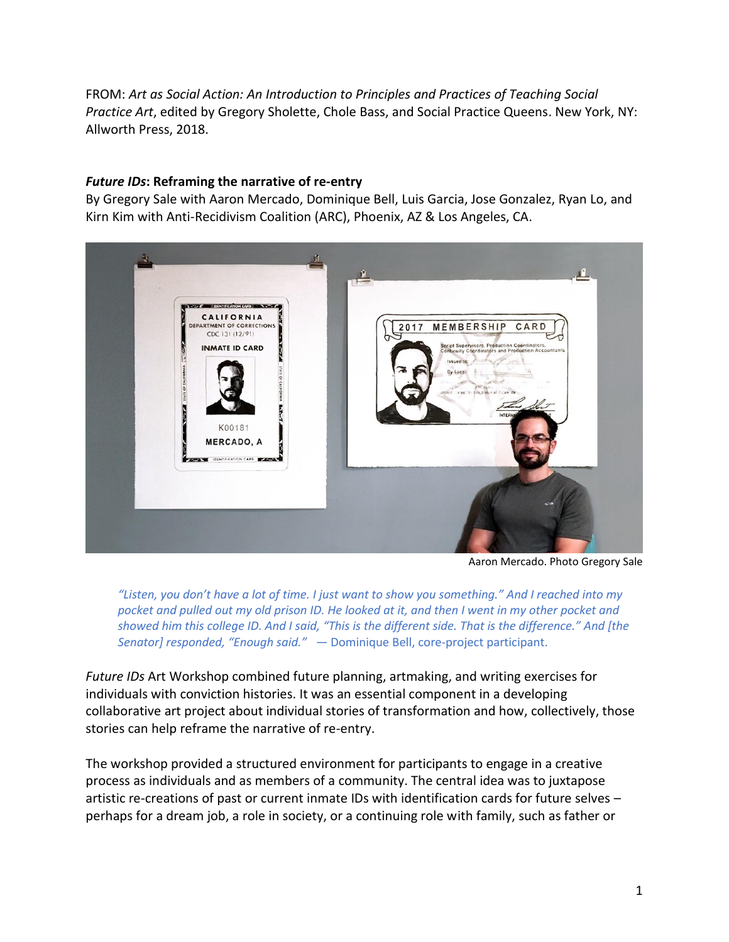FROM: *Art as Social Action: An Introduction to Principles and Practices of Teaching Social Practice Art*, edited by Gregory Sholette, Chole Bass, and Social Practice Queens. New York, NY: Allworth Press, 2018.

### *Future IDs***: Reframing the narrative of re-entry**

By Gregory Sale with Aaron Mercado, Dominique Bell, Luis Garcia, Jose Gonzalez, Ryan Lo, and Kirn Kim with Anti-Recidivism Coalition (ARC), Phoenix, AZ & Los Angeles, CA.



Aaron Mercado. Photo Gregory Sale

*"Listen, you don't have a lot of time. I just want to show you something." And I reached into my pocket and pulled out my old prison ID. He looked at it, and then I went in my other pocket and showed him this college ID. And I said, "This is the different side. That is the difference." And [the Senator] responded, "Enough said."* — Dominique Bell, core-project participant.

*Future IDs* Art Workshop combined future planning, artmaking, and writing exercises for individuals with conviction histories. It was an essential component in a developing collaborative art project about individual stories of transformation and how, collectively, those stories can help reframe the narrative of re-entry.

The workshop provided a structured environment for participants to engage in a creative process as individuals and as members of a community. The central idea was to juxtapose artistic re-creations of past or current inmate IDs with identification cards for future selves – perhaps for a dream job, a role in society, or a continuing role with family, such as father or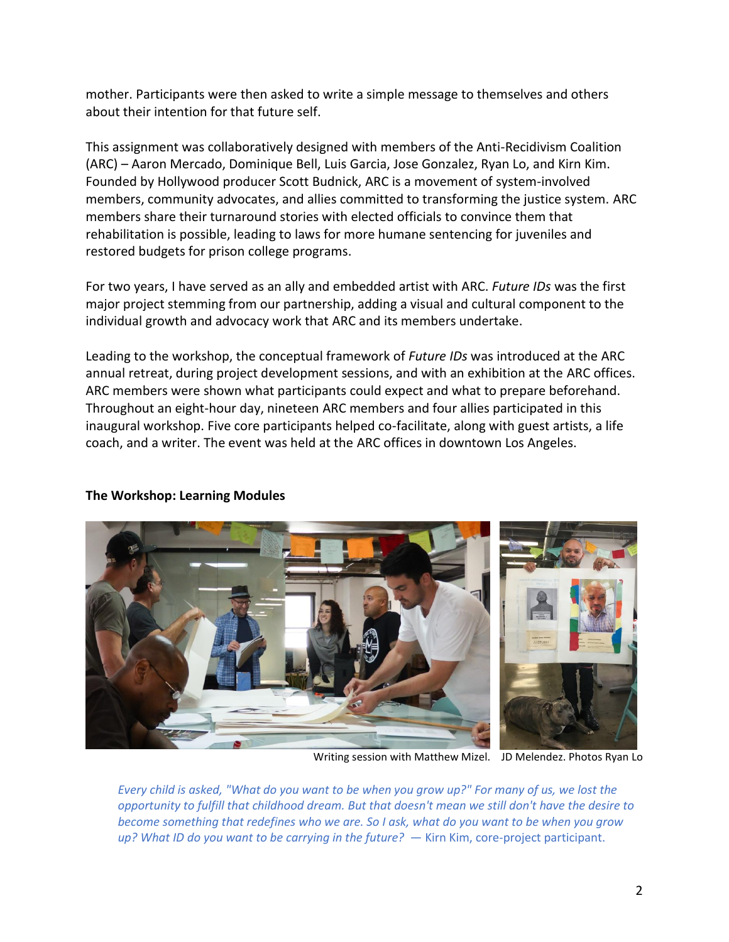mother. Participants were then asked to write a simple message to themselves and others about their intention for that future self.

This assignment was collaboratively designed with members of the Anti-Recidivism Coalition (ARC) – Aaron Mercado, Dominique Bell, Luis Garcia, Jose Gonzalez, Ryan Lo, and Kirn Kim. Founded by Hollywood producer Scott Budnick, ARC is a movement of system-involved members, community advocates, and allies committed to transforming the justice system. ARC members share their turnaround stories with elected officials to convince them that rehabilitation is possible, leading to laws for more humane sentencing for juveniles and restored budgets for prison college programs.

For two years, I have served as an ally and embedded artist with ARC. *Future IDs* was the first major project stemming from our partnership, adding a visual and cultural component to the individual growth and advocacy work that ARC and its members undertake.

Leading to the workshop, the conceptual framework of *Future IDs* was introduced at the ARC annual retreat, during project development sessions, and with an exhibition at the ARC offices. ARC members were shown what participants could expect and what to prepare beforehand. Throughout an eight-hour day, nineteen ARC members and four allies participated in this inaugural workshop. Five core participants helped co-facilitate, along with guest artists, a life coach, and a writer. The event was held at the ARC offices in downtown Los Angeles.



## **The Workshop: Learning Modules**

Writing session with Matthew Mizel. JD Melendez. Photos Ryan Lo

*Every child is asked, "What do you want to be when you grow up?" For many of us, we lost the opportunity to fulfill that childhood dream. But that doesn't mean we still don't have the desire to become something that redefines who we are. So I ask, what do you want to be when you grow up? What ID do you want to be carrying in the future?* — Kirn Kim, core-project participant.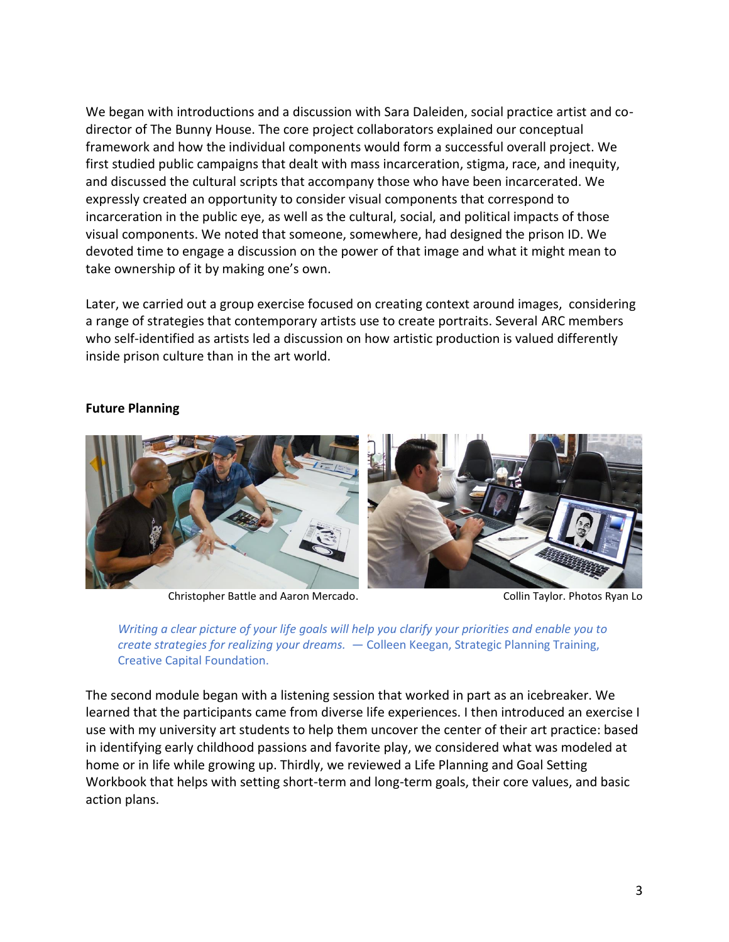We began with introductions and a discussion with Sara Daleiden, social practice artist and codirector of The Bunny House. The core project collaborators explained our conceptual framework and how the individual components would form a successful overall project. We first studied public campaigns that dealt with mass incarceration, stigma, race, and inequity, and discussed the cultural scripts that accompany those who have been incarcerated. We expressly created an opportunity to consider visual components that correspond to incarceration in the public eye, as well as the cultural, social, and political impacts of those visual components. We noted that someone, somewhere, had designed the prison ID. We devoted time to engage a discussion on the power of that image and what it might mean to take ownership of it by making one's own.

Later, we carried out a group exercise focused on creating context around images, considering a range of strategies that contemporary artists use to create portraits. Several ARC members who self-identified as artists led a discussion on how artistic production is valued differently inside prison culture than in the art world.



#### **Future Planning**

Christopher Battle and Aaron Mercado. Christopher Battle and Aaron Mercado.



The second module began with a listening session that worked in part as an icebreaker. We learned that the participants came from diverse life experiences. I then introduced an exercise I use with my university art students to help them uncover the center of their art practice: based in identifying early childhood passions and favorite play, we considered what was modeled at home or in life while growing up. Thirdly, we reviewed a Life Planning and Goal Setting Workbook that helps with setting short-term and long-term goals, their core values, and basic action plans.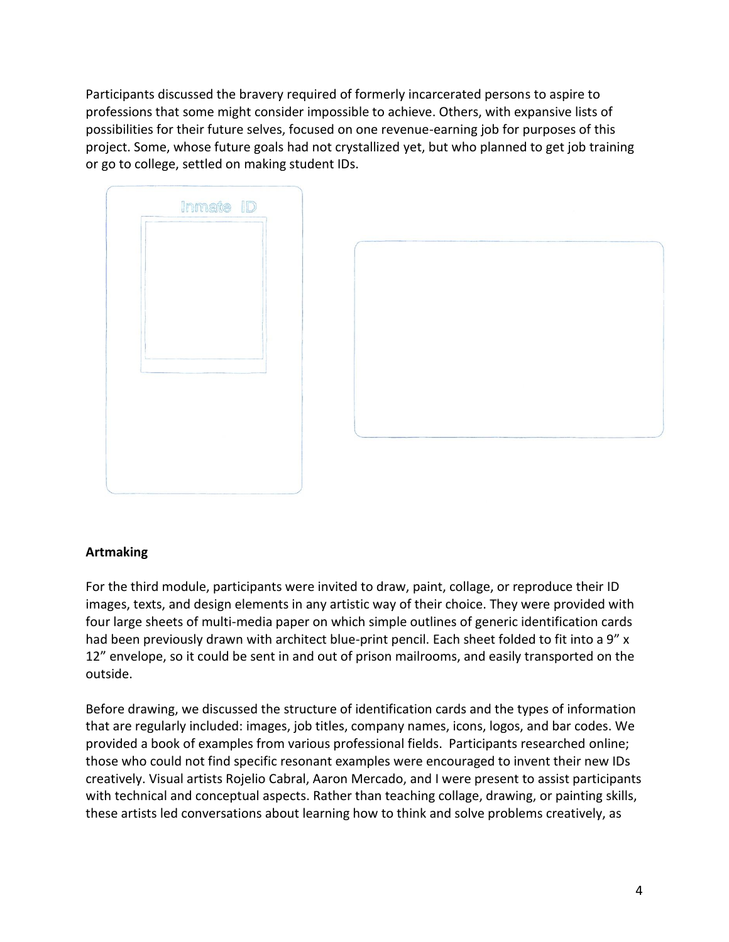Participants discussed the bravery required of formerly incarcerated persons to aspire to professions that some might consider impossible to achieve. Others, with expansive lists of possibilities for their future selves, focused on one revenue-earning job for purposes of this project. Some, whose future goals had not crystallized yet, but who planned to get job training or go to college, settled on making student IDs.

| Inmate ID |  |
|-----------|--|
|           |  |
|           |  |
|           |  |
|           |  |
|           |  |
|           |  |
|           |  |
|           |  |

## **Artmaking**

For the third module, participants were invited to draw, paint, collage, or reproduce their ID images, texts, and design elements in any artistic way of their choice. They were provided with four large sheets of multi-media paper on which simple outlines of generic identification cards had been previously drawn with architect blue-print pencil. Each sheet folded to fit into a 9" x 12" envelope, so it could be sent in and out of prison mailrooms, and easily transported on the outside.

Before drawing, we discussed the structure of identification cards and the types of information that are regularly included: images, job titles, company names, icons, logos, and bar codes. We provided a book of examples from various professional fields. Participants researched online; those who could not find specific resonant examples were encouraged to invent their new IDs creatively. Visual artists Rojelio Cabral, Aaron Mercado, and I were present to assist participants with technical and conceptual aspects. Rather than teaching collage, drawing, or painting skills, these artists led conversations about learning how to think and solve problems creatively, as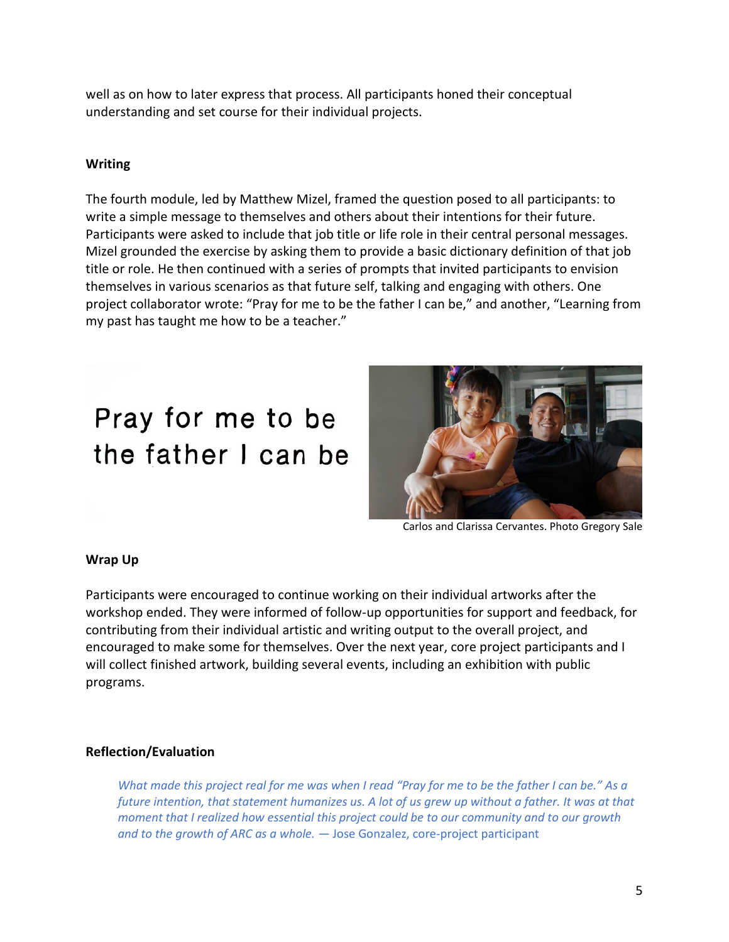well as on how to later express that process. All participants honed their conceptual understanding and set course for their individual projects.

### **Writing**

The fourth module, led by Matthew Mizel, framed the question posed to all participants: to write a simple message to themselves and others about their intentions for their future. Participants were asked to include that job title or life role in their central personal messages. Mizel grounded the exercise by asking them to provide a basic dictionary definition of that job title or role. He then continued with a series of prompts that invited participants to envision themselves in various scenarios as that future self, talking and engaging with others. One project collaborator wrote: "Pray for me to be the father I can be," and another, "Learning from my past has taught me how to be a teacher."

# Pray for me to be the father I can be



Carlos and Clarissa Cervantes. Photo Gregory Sale

#### **Wrap Up**

Participants were encouraged to continue working on their individual artworks after the workshop ended. They were informed of follow-up opportunities for support and feedback, for contributing from their individual artistic and writing output to the overall project, and encouraged to make some for themselves. Over the next year, core project participants and I will collect finished artwork, building several events, including an exhibition with public programs.

#### **Reflection/Evaluation**

*What made this project real for me was when I read "Pray for me to be the father I can be." As a future intention, that statement humanizes us. A lot of us grew up without a father. It was at that moment that I realized how essential this project could be to our community and to our growth and to the growth of ARC as a whole.* — Jose Gonzalez, core-project participant